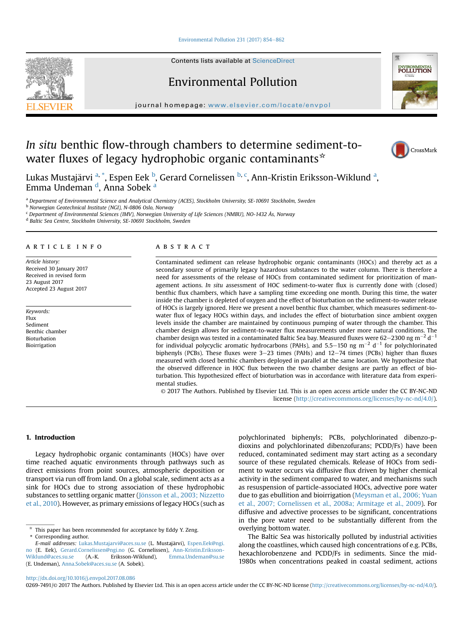## [Environmental Pollution 231 \(2017\) 854](http://dx.doi.org/10.1016/j.envpol.2017.08.086)-[862](http://dx.doi.org/10.1016/j.envpol.2017.08.086)

Contents lists available at ScienceDirect

Environmental Pollution

journal homepage: [www.elsevier.com/locate/envpol](http://www.elsevier.com/locate/envpol)

# In situ benthic flow-through chambers to determine sediment-towater fluxes of legacy hydrophobic organic contaminants<sup>\*</sup>

Lukas Mustajärvi <sup>a, \*</sup>, Espen Eek <sup>b</sup>, Gerard Cornelissen <sup>b, c</sup>, Ann-Kristin Eriksson-Wiklund <sup>a</sup>, Emma Undeman <sup>d</sup>, Anna Sobek <sup>a</sup>

a Department of Environmental Science and Analytical Chemistry (ACES), Stockholm University, SE-10691 Stockholm, Sweden

<sup>b</sup> Norwegian Geotechnical Institute (NGI), N-0806 Oslo, Norway

<sup>c</sup> Department of Environmental Sciences (IMV), Norwegian University of Life Sciences (NMBU), NO-1432 Ås, Norway

<sup>d</sup> Baltic Sea Centre, Stockholm University, SE-10691 Stockholm, Sweden

# article info

Article history: Received 30 January 2017 Received in revised form 23 August 2017 Accepted 23 August 2017

Keywords: Flux Sediment Benthic chamber Bioturbation Bioirrigation

#### **ABSTRACT**

Contaminated sediment can release hydrophobic organic contaminants (HOCs) and thereby act as a secondary source of primarily legacy hazardous substances to the water column. There is therefore a need for assessments of the release of HOCs from contaminated sediment for prioritization of management actions. In situ assessment of HOC sediment-to-water flux is currently done with (closed) benthic flux chambers, which have a sampling time exceeding one month. During this time, the water inside the chamber is depleted of oxygen and the effect of bioturbation on the sediment-to-water release of HOCs is largely ignored. Here we present a novel benthic flux chamber, which measures sediment-towater flux of legacy HOCs within days, and includes the effect of bioturbation since ambient oxygen levels inside the chamber are maintained by continuous pumping of water through the chamber. This chamber design allows for sediment-to-water flux measurements under more natural conditions. The chamber design was tested in a contaminated Baltic Sea bay. Measured fluxes were 62–2300 ng m<sup>-2</sup> d<sup>-1</sup> for individual polycyclic aromatic hydrocarbons (PAHs), and 5.5–150 ng  $m^{-2}$  d<sup>-1</sup> for polychlorinated biphenyls (PCBs). These fluxes were  $3-23$  times (PAHs) and  $12-74$  times (PCBs) higher than fluxes measured with closed benthic chambers deployed in parallel at the same location. We hypothesize that the observed difference in HOC flux between the two chamber designs are partly an effect of bioturbation. This hypothesized effect of bioturbation was in accordance with literature data from experimental studies.

© 2017 The Authors. Published by Elsevier Ltd. This is an open access article under the CC BY-NC-ND license [\(http://creativecommons.org/licenses/by-nc-nd/4.0/](http://creativecommons.org/licenses/by-nc-nd/4.0/)).

# 1. Introduction

Legacy hydrophobic organic contaminants (HOCs) have over time reached aquatic environments through pathways such as direct emissions from point sources, atmospheric deposition or transport via run off from land. On a global scale, sediment acts as a sink for HOCs due to strong association of these hydrophobic substances to settling organic matter ([J](#page-7-0)ö[nsson et al., 2003; Nizzetto](#page-7-0) [et al., 2010](#page-7-0)). However, as primary emissions of legacy HOCs (such as

 $*$  This paper has been recommended for acceptance by Eddy Y. Zeng. \* Corresponding author.

polychlorinated biphenyls; PCBs, polychlorinated dibenzo-pdioxins and polychlorinated dibenzofurans; PCDD/Fs) have been reduced, contaminated sediment may start acting as a secondary source of these regulated chemicals. Release of HOCs from sediment to water occurs via diffusive flux driven by higher chemical activity in the sediment compared to water, and mechanisms such as resuspension of particle-associated HOCs, advective pore water due to gas ebullition and bioirrigation ([Meysman et al., 2006; Yuan](#page-7-0) [et al., 2007; Cornelissen et al., 2008a; Armitage et al., 2009\)](#page-7-0). For diffusive and advective processes to be significant, concentrations in the pore water need to be substantially different from the overlying bottom water.

The Baltic Sea was historically polluted by industrial activities along the coastlines, which caused high concentrations of e.g. PCBs, hexachlorobenzene and PCDD/Fs in sediments. Since the mid-1980s when concentrations peaked in coastal sediment, actions

0269-7491/© 2017 The Authors. Published by Elsevier Ltd. This is an open access article under the CC BY-NC-ND license ([http://creativecommons.org/licenses/by-nc-nd/4.0/\)](http://creativecommons.org/licenses/by-nc-nd/4.0/).







E-mail addresses: [Lukas.Mustajarvi@aces.su.se](mailto:Lukas.Mustajarvi@aces.su.se) (L. Mustajärvi), [Espen.Eek@ngi.](mailto:Espen.Eek@ngi.no) [no](mailto:Espen.Eek@ngi.no) (E. Eek), [Gerard.Cornelissen@ngi.no](mailto:Gerard.Cornelissen@ngi.no) (G. Cornelissen), Ann-Kristin.Eriksson-<br>Wiklund@aces.su.se (A.-K. Eriksson-Wiklund), Emma.Undeman@su.se [Wiklund@aces.su.se](mailto:Ann-Kristin.Eriksson-Wiklund@aces.su.se) (A.-K. Eriksson-Wiklund), [Emma.Undeman@su.se](mailto:Emma.Undeman@su.se) (E. Undeman), [Anna.Sobek@aces.su.se](mailto:Anna.Sobek@aces.su.se) (A. Sobek).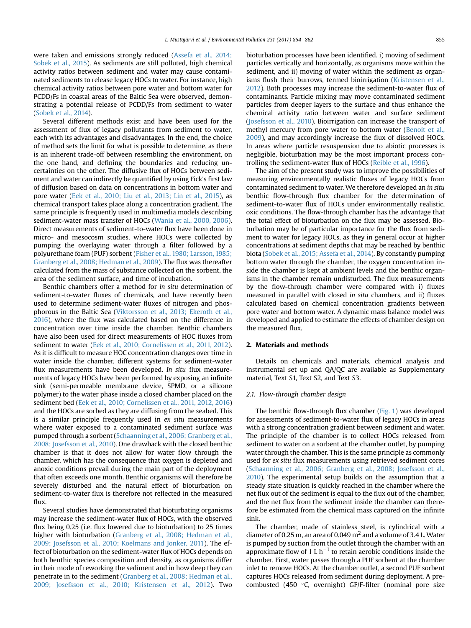were taken and emissions strongly reduced [\(Assefa et al., 2014;](#page-7-0) [Sobek et al., 2015](#page-7-0)). As sediments are still polluted, high chemical activity ratios between sediment and water may cause contaminated sediments to release legacy HOCs to water. For instance, high chemical activity ratios between pore water and bottom water for PCDD/Fs in coastal areas of the Baltic Sea were observed, demonstrating a potential release of PCDD/Fs from sediment to water ([Sobek et al., 2014\)](#page-8-0).

Several different methods exist and have been used for the assessment of flux of legacy pollutants from sediment to water, each with its advantages and disadvantages. In the end, the choice of method sets the limit for what is possible to determine, as there is an inherent trade-off between resembling the environment, on the one hand, and defining the boundaries and reducing uncertainties on the other. The diffusive flux of HOCs between sediment and water can indirectly be quantified by using Fick's first law of diffusion based on data on concentrations in bottom water and pore water [\(Eek et al., 2010; Liu et al., 2013; Lin et al., 2015\)](#page-7-0), as chemical transport takes place along a concentration gradient. The same principle is frequently used in multimedia models describing sediment-water mass transfer of HOCs [\(Wania et al., 2000, 2006\)](#page-8-0). Direct measurements of sediment-to-water flux have been done in micro- and mesocosm studies, where HOCs were collected by pumping the overlaying water through a filter followed by a polyurethane foam (PUF) sorbent ([Fisher et al., 1980; Larsson, 1985;](#page-7-0) [Granberg et al., 2008; Hedman et al., 2009](#page-7-0)). The flux was thereafter calculated from the mass of substance collected on the sorbent, the area of the sediment surface, and time of incubation.

Benthic chambers offer a method for in situ determination of sediment-to-water fluxes of chemicals, and have recently been used to determine sediment-water fluxes of nitrogen and phosphorous in the Baltic Sea [\(Viktorsson et al., 2013; Ekeroth et al.,](#page-8-0) [2016\)](#page-8-0), where the flux was calculated based on the difference in concentration over time inside the chamber. Benthic chambers have also been used for direct measurements of HOC fluxes from sediment to water [\(Eek et al., 2010; Cornelissen et al., 2011, 2012\)](#page-7-0). As it is difficult to measure HOC concentration changes over time in water inside the chamber, different systems for sediment-water flux measurements have been developed. In situ flux measurements of legacy HOCs have been performed by exposing an infinite sink (semi-permeable membrane device, SPMD, or a silicone polymer) to the water phase inside a closed chamber placed on the sediment bed [\(Eek et al., 2010; Cornelissen et al., 2011, 2012, 2016\)](#page-7-0) and the HOCs are sorbed as they are diffusing from the seabed. This is a similar principle frequently used in ex situ measurements where water exposed to a contaminated sediment surface was pumped through a sorbent [\(Schaanning et al., 2006; Granberg et al.,](#page-7-0) [2008; Josefsson et al., 2010](#page-7-0)). One drawback with the closed benthic chamber is that it does not allow for water flow through the chamber, which has the consequence that oxygen is depleted and anoxic conditions prevail during the main part of the deployment that often exceeds one month. Benthic organisms will therefore be severely disturbed and the natural effect of bioturbation on sediment-to-water flux is therefore not reflected in the measured flux.

Several studies have demonstrated that bioturbating organisms may increase the sediment-water flux of HOCs, with the observed flux being 0.25 (i.e. flux lowered due to bioturbation) to 25 times higher with bioturbation [\(Granberg et al., 2008; Hedman et al.,](#page-7-0) [2009; Josefsson et al., 2010; Koelmans and Jonker, 2011](#page-7-0)). The effect of bioturbation on the sediment-water flux of HOCs depends on both benthic species composition and density, as organisms differ in their mode of reworking the sediment and in how deep they can penetrate in to the sediment [\(Granberg et al., 2008; Hedman et al.,](#page-7-0) [2009; Josefsson et al., 2010; Kristensen et al., 2012\)](#page-7-0). Two bioturbation processes have been identified. i) moving of sediment particles vertically and horizontally, as organisms move within the sediment, and ii) moving of water within the sediment as organisms flush their burrows, termed bioirrigation ([Kristensen et al.,](#page-7-0) [2012\)](#page-7-0). Both processes may increase the sediment-to-water flux of contaminants. Particle mixing may move contaminated sediment particles from deeper layers to the surface and thus enhance the chemical activity ratio between water and surface sediment ([Josefsson et al., 2010\)](#page-7-0). Bioirrigation can increase the transport of methyl mercury from pore water to bottom water ([Benoit et al.,](#page-7-0) [2009\)](#page-7-0), and may accordingly increase the flux of dissolved HOCs. In areas where particle resuspension due to abiotic processes is negligible, bioturbation may be the most important process controlling the sediment-water flux of HOCs ([Reible et al., 1996](#page-7-0)).

The aim of the present study was to improve the possibilities of measuring environmentally realistic fluxes of legacy HOCs from contaminated sediment to water. We therefore developed an in situ benthic flow-through flux chamber for the determination of sediment-to-water flux of HOCs under environmentally realistic, oxic conditions. The flow-through chamber has the advantage that the total effect of bioturbation on the flux may be assessed. Bioturbation may be of particular importance for the flux from sediment to water for legacy HOCs, as they in general occur at higher concentrations at sediment depths that may be reached by benthic biota [\(Sobek et al., 2015; Assefa et al., 2014](#page-8-0)). By constantly pumping bottom water through the chamber, the oxygen concentration inside the chamber is kept at ambient levels and the benthic organisms in the chamber remain undisturbed. The flux measurements by the flow-through chamber were compared with i) fluxes measured in parallel with closed in situ chambers, and ii) fluxes calculated based on chemical concentration gradients between pore water and bottom water. A dynamic mass balance model was developed and applied to estimate the effects of chamber design on the measured flux.

## 2. Materials and methods

Details on chemicals and materials, chemical analysis and instrumental set up and QA/QC are available as Supplementary material, Text S1, Text S2, and Text S3.

## 2.1. Flow-through chamber design

The benthic flow-through flux chamber [\(Fig. 1](#page-2-0)) was developed for assessments of sediment-to-water flux of legacy HOCs in areas with a strong concentration gradient between sediment and water. The principle of the chamber is to collect HOCs released from sediment to water on a sorbent at the chamber outlet, by pumping water through the chamber. This is the same principle as commonly used for ex situ flux measurements using retrieved sediment cores ([Schaanning et al., 2006; Granberg et al., 2008; Josefsson et al.,](#page-7-0) [2010\)](#page-7-0). The experimental setup builds on the assumption that a steady state situation is quickly reached in the chamber where the net flux out of the sediment is equal to the flux out of the chamber, and the net flux from the sediment inside the chamber can therefore be estimated from the chemical mass captured on the infinite sink.

The chamber, made of stainless steel, is cylindrical with a diameter of 0.25 m, an area of 0.049  $m<sup>2</sup>$  and a volume of 3.4 L. Water is pumped by suction from the outlet through the chamber with an approximate flow of 1 L  $h^{-1}$  to retain aerobic conditions inside the chamber. First, water passes through a PUF sorbent at the chamber inlet to remove HOCs. At the chamber outlet, a second PUF sorbent captures HOCs released from sediment during deployment. A precombusted (450  $\degree$ C, overnight) GF/F-filter (nominal pore size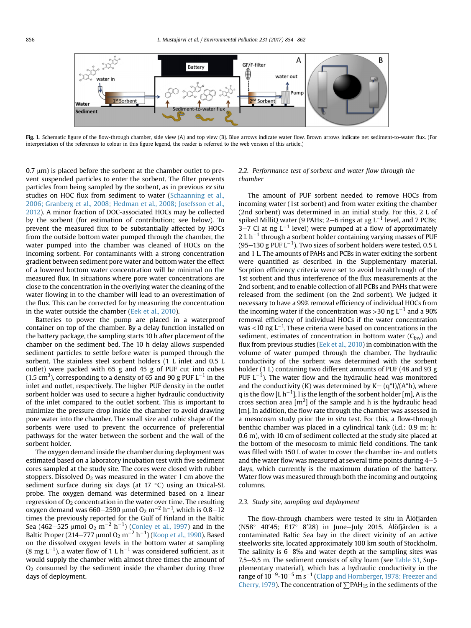<span id="page-2-0"></span>

Fig. 1. Schematic figure of the flow-through chamber, side view (A) and top view (B). Blue arrows indicate mater flow. Brown arrows indicate net sediment-to-water flux. (For interpretation of the references to colour in this figure legend, the reader is referred to the web version of this article.)

 $0.7 \mu$ m) is placed before the sorbent at the chamber outlet to prevent suspended particles to enter the sorbent. The filter prevents particles from being sampled by the sorbent, as in previous ex situ studies on HOC flux from sediment to water [\(Schaanning et al.,](#page-7-0) [2006; Granberg et al., 2008; Hedman et al., 2008; Josefsson et al.,](#page-7-0) [2012](#page-7-0)). A minor fraction of DOC-associated HOCs may be collected by the sorbent (for estimation of contribution; see below). To prevent the measured flux to be substantially affected by HOCs from the outside bottom water pumped through the chamber, the water pumped into the chamber was cleaned of HOCs on the incoming sorbent. For contaminants with a strong concentration gradient between sediment pore water and bottom water the effect of a lowered bottom water concentration will be minimal on the measured flux. In situations where pore water concentrations are close to the concentration in the overlying water the cleaning of the water flowing in to the chamber will lead to an overestimation of the flux. This can be corrected for by measuring the concentration in the water outside the chamber [\(Eek et al., 2010](#page-7-0)).

Batteries to power the pump are placed in a waterproof container on top of the chamber. By a delay function installed on the battery package, the sampling starts 10 h after placement of the chamber on the sediment bed. The 10 h delay allows suspended sediment particles to settle before water is pumped through the sorbent. The stainless steel sorbent holders (1 L inlet and 0.5 L outlet) were packed with 65 g and 45 g of PUF cut into cubes (1.5 cm<sup>3</sup>), corresponding to a density of 65 and 90 g PUF L $^{-1}$  in the inlet and outlet, respectively. The higher PUF density in the outlet sorbent holder was used to secure a higher hydraulic conductivity of the inlet compared to the outlet sorbent. This is important to minimize the pressure drop inside the chamber to avoid drawing pore water into the chamber. The small size and cubic shape of the sorbents were used to prevent the occurrence of preferential pathways for the water between the sorbent and the wall of the sorbent holder.

The oxygen demand inside the chamber during deployment was estimated based on a laboratory incubation test with five sediment cores sampled at the study site. The cores were closed with rubber stoppers. Dissolved  $O_2$  was measured in the water 1 cm above the sediment surface during six days (at  $17 \degree C$ ) using an Oxical-SL probe. The oxygen demand was determined based on a linear regression of  $O<sub>2</sub>$  concentration in the water over time. The resulting oxygen demand was 660–2590 µmol O $_2$  m $^{-2}$  h $^{-1}$ , which is 0.8–12 times the previously reported for the Gulf of Finland in the Baltic Sea (462–525  $\mu$ mol O<sub>2</sub> m<sup>-2</sup> h<sup>-1</sup>) ([Conley et al., 1997](#page-7-0)) and in the Baltic Proper (214–777 µmol O $_2$  m $^{-2}$  h $^{-1}$ ) ([Koop et al., 1990\)](#page-7-0). Based on the dissolved oxygen levels in the bottom water at sampling (8 mg L $^{-1}$ ), a water flow of 1 L h $^{-1}$  was considered sufficient, as it would supply the chamber with almost three times the amount of  $O<sub>2</sub>$  consumed by the sediment inside the chamber during three days of deployment.

# 2.2. Performance test of sorbent and water flow through the chamber

The amount of PUF sorbent needed to remove HOCs from incoming water (1st sorbent) and from water exiting the chamber (2nd sorbent) was determined in an initial study. For this, 2 L of spiked MilliQ water (9 PAHs; 2–6 rings at  $\mu$ g L<sup>-1</sup> level, and 7 PCBs;  $3-7$  Cl at ng L<sup>-1</sup> level) were pumped at a flow of approximately  $2 L h^{-1}$  through a sorbent holder containing varying masses of PUF (95–130 g PUF L $^{-1}$ ). Two sizes of sorbent holders were tested, 0.5 L and 1 L. The amounts of PAHs and PCBs in water exiting the sorbent were quantified as described in the Supplementary material. Sorption efficiency criteria were set to avoid breakthrough of the 1st sorbent and thus interference of the flux measurements at the 2nd sorbent, and to enable collection of all PCBs and PAHs that were released from the sediment (on the 2nd sorbent). We judged it necessary to have a 99% removal efficiency of individual HOCs from the incoming water if the concentration was >30 ng  $L^{-1}$  and a 90% removal efficiency of individual HOCs if the water concentration was <10 ng L<sup>-1</sup>. These criteria were based on concentrations in the sediment, estimates of concentration in bottom water  $(C_{bw})$  and flux from previous studies ([Eek et al., 2010](#page-7-0)) in combination with the volume of water pumped through the chamber. The hydraulic conductivity of the sorbent was determined with the sorbent holder (1 L) containing two different amounts of PUF (48 and 93 g PUF  $L^{-1}$ ). The water flow and the hydraulic head was monitored and the conductivity (K) was determined by  $K = (q^*1)/(A^*h)$ , where q is the flow [L h<sup>-1</sup>], l is the length of the sorbent holder [m], A is the cross section area  $[m^2]$  of the sample and h is the hydraulic head [m]. In addition, the flow rate through the chamber was assessed in a mesocosm study prior the in situ test. For this, a flow-through benthic chamber was placed in a cylindrical tank (i.d.: 0.9 m; h: 0.6 m), with 10 cm of sediment collected at the study site placed at the bottom of the mesocosm to mimic field conditions. The tank was filled with 150 L of water to cover the chamber in- and outlets and the water flow was measured at several time points during  $4-5$ days, which currently is the maximum duration of the battery. Water flow was measured through both the incoming and outgoing columns.

## 2.3. Study site, sampling and deployment

The flow-through chambers were tested in situ in Ålöfjärden (N58° 40'45; E17° 8'28) in June-July 2015. Ålöfjärden is a contaminated Baltic Sea bay in the direct vicinity of an active steelworks site, located approximately 100 km south of Stockholm. The salinity is  $6-8\%$  and water depth at the sampling sites was 7.5–9.5 m. The sediment consists of silty loam (see Table S1, Supplementary material), which has a hydraulic conductivity in the range of 10 $^{-9}$ -10 $^{-5}$  m s $^{-1}$  [\(Clapp and Hornberger, 1978; Freezer and](#page-7-0) [Cherry, 1979](#page-7-0)). The concentration of  $\sum$ PAH<sub>15</sub> in the sediments of the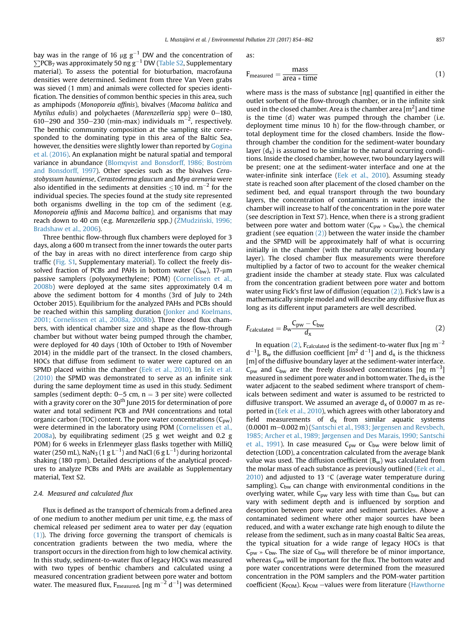<span id="page-3-0"></span>bay was in the range of 16  $\mu$ g g $^{-1}$  DW and the concentration of  $\sum$ PCB7 was approximately 50 ng g $^{-1}$  DW (Table S2, Supplementary material). To assess the potential for bioturbation, macrofauna densities were determined. Sediment from three Van Veen grabs was sieved (1 mm) and animals were collected for species identification. The densities of common benthic species in this area, such as amphipods (Monoporeia affinis), bivalves (Macoma balitica and Mytilus edulis) and polychaetes (Marenzelleria spp) were  $0-180$ , 610–290 and 350–230 (min-max) individuals  $\mathrm{m}^{-2}$ , respectively. The benthic community composition at the sampling site corresponded to the dominating type in this area of the Baltic Sea, however, the densities were slightly lower than reported by [Gogina](#page-7-0) [et al. \(2016\)](#page-7-0). An explanation might be natural spatial and temporal variance in abundance [\(Blomqvist and Bonsdorff, 1986; Bostr](#page-7-0)ö[m](#page-7-0) [and Bonsdorff, 1997\)](#page-7-0). Other species such as the bivalves Cerastobyssum hauniense, Cerastoderma glaucum and Mya arenaria were also identified in the sediments at densities  $\leq 10$  ind. m<sup>-2</sup> for the individual species. The species found at the study site represented both organisms dwelling in the top cm of the sediment (e.g. Monoporeia affinis and Macoma baltica), and organisms that may reach down to 40 cm (e.g. Marenzelleria spp.) (ŻMudziński, 1996; [Bradshaw et al., 2006](#page-8-0)).

Three benthic flow-through flux chambers were deployed for 3 days, along a 600 m transect from the inner towards the outer parts of the bay in areas with no direct interference from cargo ship traffic (Fig. S1, Supplementary material). To collect the freely dissolved fraction of PCBs and PAHs in bottom water  $(C_{bw})$ , 17- $\mu$ m passive samplers (polyoxymethylene; POM) ([Cornelissen et al.,](#page-7-0) [2008b\)](#page-7-0) were deployed at the same sites approximately 0.4 m above the sediment bottom for 4 months (3rd of July to 24th October 2015). Equilibrium for the analyzed PAHs and PCBs should be reached within this sampling duration ([Jonker and Koelmans,](#page-7-0) [2001; Cornelissen et al., 2008a, 2008b\)](#page-7-0). Three closed flux chambers, with identical chamber size and shape as the flow-through chamber but without water being pumped through the chamber, were deployed for 40 days (10th of October to 19th of November 2014) in the middle part of the transect. In the closed chambers, HOCs that diffuse from sediment to water were captured on an SPMD placed within the chamber [\(Eek et al., 2010\)](#page-7-0). In [Eek et al.](#page-7-0) [\(2010\)](#page-7-0) the SPMD was demonstrated to serve as an infinite sink during the same deployment time as used in this study. Sediment samples (sediment depth:  $0-5$  cm,  $n = 3$  per site) were collected with a gravity corer on the 30<sup>th</sup> June 2015 for determination of pore water and total sediment PCB and PAH concentrations and total organic carbon (TOC) content. The pore water concentrations ( $C_{pw}$ ) were determined in the laboratory using POM [\(Cornelissen et al.,](#page-7-0) [2008a\)](#page-7-0), by equilibrating sediment (25 g wet weight and 0.2 g POM) for 6 weeks in Erlenmeyer glass flasks together with MilliQ water (250 mL), NaN $_3$  (1 g L $^{-1}$ ) and NaCl (6 g L $^{-1}$ ) during horizontal shaking (180 rpm). Detailed descriptions of the analytical procedures to analyze PCBs and PAHs are available as Supplementary material, Text S2.

# 2.4. Measured and calculated flux

Flux is defined as the transport of chemicals from a defined area of one medium to another medium per unit time, e.g. the mass of chemical released per sediment area to water per day (equation (1)). The driving force governing the transport of chemicals is concentration gradients between the two media, where the transport occurs in the direction from high to low chemical activity. In this study, sediment-to-water flux of legacy HOCs was measured with two types of benthic chambers and calculated using a measured concentration gradient between pore water and bottom water. The measured flux, F<sub>measured</sub>, [ng m<sup>-2</sup> d<sup>-1</sup>] was determined

as:

$$
F_{\text{measured}} = \frac{\text{mass}}{\text{area} * \text{time}} \tag{1}
$$

where mass is the mass of substance [ng] quantified in either the outlet sorbent of the flow-through chamber, or in the infinite sink used in the closed chamber. Area is the chamber area  $[m^2]$  and time is the time (d) water was pumped through the chamber (i.e. deployment time minus 10 h) for the flow-through chamber, or total deployment time for the closed chambers. Inside the flowthrough chamber the condition for the sediment-water boundary layer  $(d_x)$  is assumed to be similar to the natural occurring conditions. Inside the closed chamber, however, two boundary layers will be present; one at the sediment-water interface and one at the water-infinite sink interface ([Eek et al., 2010](#page-7-0)). Assuming steady state is reached soon after placement of the closed chamber on the sediment bed, and equal transport through the two boundary layers, the concentration of contaminants in water inside the chamber will increase to half of the concentration in the pore water (see description in Text S7). Hence, when there is a strong gradient between pore water and bottom water ( $C_{pw}$  »  $C_{bw}$ ), the chemical gradient (see equation  $(2)$ ) between the water inside the chamber and the SPMD will be approximately half of what is occurring initially in the chamber (with the naturally occurring boundary layer). The closed chamber flux measurements were therefore multiplied by a factor of two to account for the weaker chemical gradient inside the chamber at steady state. Flux was calculated from the concentration gradient between pore water and bottom water using Fick's first law of diffusion (equation (2)). Fick's law is a mathematically simple model and will describe any diffusive flux as long as its different input parameters are well described.

$$
F_{\text{calculated}} = B_{\text{w}} \frac{C_{\text{pw}} - C_{\text{bw}}}{d_{\text{x}}} \tag{2}
$$

In equation (2),  $F_{calculated}$  is the sediment-to-water flux [ng m<sup>-2</sup>  $d^{-1}$ ], B<sub>w</sub> the diffusion coefficient [m<sup>2</sup> d<sup>-1</sup>] and d<sub>x</sub> is the thickness [m] of the diffusive boundary layer at the sediment-water interface.  $C_{\text{pw}}$  and  $C_{\text{bw}}$  are the freely dissolved concentrations [ng m<sup>-3</sup>] measured in sediment pore water and in bottom water. The  $d_x$  is the water adjacent to the seabed sediment where transport of chemicals between sediment and water is assumed to be restricted to diffusive transport. We assumed an average  $d_x$  of 0.0007 m as reported in [\(Eek et al., 2010\)](#page-7-0), which agrees with other laboratory and field measurements of  $d_x$  from similar aquatic systems (0.0001 m-0.002 m) [\(Santschi et al., 1983; J](#page-7-0)ø[rgensen and Revsbech,](#page-7-0) [1985; Archer et al., 1989; Jørgensen and Des Marais, 1990; Santschi](#page-7-0) [et al., 1991\)](#page-7-0). In case measured  $C_{pw}$  or  $C_{bw}$  were below limit of detection (LOD), a concentration calculated from the average blank value was used. The diffusion coefficient  $(B_w)$  was calculated from the molar mass of each substance as previously outlined [\(Eek et al.,](#page-7-0)  $2010$ ) and adjusted to 13 °C (average water temperature during sampling).  $C_{bw}$  can change with environmental conditions in the overlying water, while  $C_{\text{pw}}$  vary less with time than  $C_{\text{bw}}$ , but can vary with sediment depth and is influenced by sorption and desorption between pore water and sediment particles. Above a contaminated sediment where other major sources have been reduced, and with a water exchange rate high enough to dilute the release from the sediment, such as in many coastal Baltic Sea areas, the typical situation for a wide range of legacy HOCs is that  $C_{\text{pw}} \times C_{\text{bw}}$ . The size of  $C_{\text{bw}}$  will therefore be of minor importance, whereas  $C_{\text{pw}}$  will be important for the flux. The bottom water and pore water concentrations were determined from the measured concentration in the POM samplers and the POM-water partition coefficient ( $K_{\text{POM}}$ ).  $K_{\text{POM}}$  -values were from literature ([Hawthorne](#page-7-0)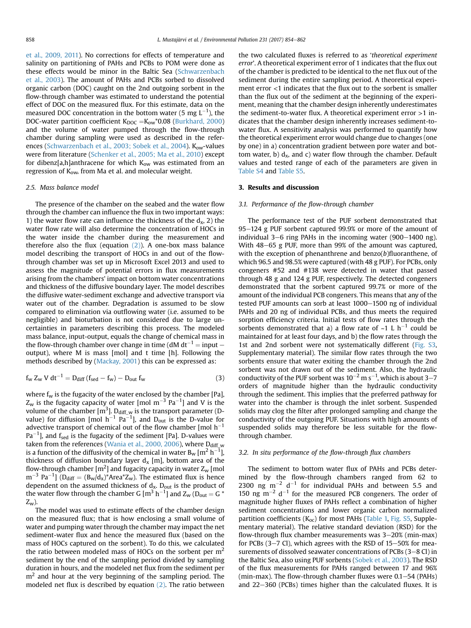[et al., 2009, 2011](#page-7-0)). No corrections for effects of temperature and salinity on partitioning of PAHs and PCBs to POM were done as these effects would be minor in the Baltic Sea ([Schwarzenbach](#page-7-0) [et al., 2003\)](#page-7-0). The amount of PAHs and PCBs sorbed to dissolved organic carbon (DOC) caught on the 2nd outgoing sorbent in the flow-through chamber was estimated to understand the potential effect of DOC on the measured flux. For this estimate, data on the measured DOC concentration in the bottom water (5 mg  $\text{L}^{-1}$ ), the DOC-water partition coefficient  $K_{\text{DOC}} = K_{\text{ow}} * 0.08$  ([Burkhard, 2000\)](#page-7-0) and the volume of water pumped through the flow-through chamber during sampling were used as described in the refer-ences [\(Schwarzenbach et al., 2003; Sobek et al., 2004](#page-7-0)). K<sub>ow</sub>-values were from literature [\(Schenker et al., 2005; Ma et al., 2010\)](#page-7-0) except for dibenz[a,h]anthracene for which  $K_{ow}$  was estimated from an regression of K<sub>ow</sub>, from Ma et al. and molecular weight.

## 2.5. Mass balance model

The presence of the chamber on the seabed and the water flow through the chamber can influence the flux in two important ways: 1) the water flow rate can influence the thickness of the  $d_x$ , 2) the water flow rate will also determine the concentration of HOCs in the water inside the chamber during the measurement and therefore also the flux (equation  $(2)$ ). A one-box mass balance model describing the transport of HOCs in and out of the flowthrough chamber was set up in Microsoft Excel 2013 and used to assess the magnitude of potential errors in flux measurements arising from the chambers' impact on bottom water concentrations and thickness of the diffusive boundary layer. The model describes the diffusive water-sediment exchange and advective transport via water out of the chamber. Degradation is assumed to be slow compared to elimination via outflowing water (i.e. assumed to be negligible) and bioturbation is not considered due to large uncertainties in parameters describing this process. The modeled mass balance, input-output, equals the change of chemical mass in the flow-through chamber over change in time (dM dt<sup>-1</sup> = input – output), where M is mass [mol] and t time [h]. Following the methods described by [\(Mackay, 2001\)](#page-7-0) this can be expressed as:

$$
f_{w} Z_{w} V dt^{-1} = D_{\text{diff}} (f_{\text{sed}} - f_{w}) - D_{\text{out}} f_{w}
$$
\n(3)

where  $f_w$  is the fugacity of the water enclosed by the chamber [Pa],  $Z_{\rm w}$  is the fugacity capacity of water [mol m $^{-3}$  Pa $^{-1}$ ] and V is the volume of the chamber [m $^3$ ]. D<sub>diff\_w</sub> is the transport parameter (Dvalue) for diffusion [mol  $h^{-1}$  Pa<sup>-1</sup>], and D<sub>out</sub> is the D-value for advective transport of chemical out of the flow chamber  $[$ mol h $^{-1}$ Pa $^{-1}$ ], and f<sub>sed</sub> is the fugacity of the sediment [Pa]. D-values were taken from the references [\(Wania et al., 2000, 2006\)](#page-8-0), where  $D_{diff_{\pi w}}$ is a function of the diffusivity of the chemical in water  $B_w$  [m<sup>2</sup> h<sup>-1</sup> ], thickness of diffusion boundary layer  $d_x$  [m], bottom area of the flow-through chamber  $[{\mathfrak m}^2]$  and fugacity capacity in water Z<sub>w</sub> [mol  $\rm m^{-3}$  Pa<sup>-1</sup>] (D<sub>diff</sub> = (B<sub>w</sub>/d<sub>x</sub>)\*Area\*Z<sub>w</sub>). The estimated flux is hence dependent on the assumed thickness of  $d_x$ .  $D_{out}$  is the product of the water flow through the chamber G  $\left[\text{m}^3 \text{ h}^{-1}\right]$  and  $Z_{\text{w}}$  (D<sub>out</sub> = G  $^*$  $Z_{w}$ ).

The model was used to estimate effects of the chamber design on the measured flux; that is how enclosing a small volume of water and pumping water through the chamber may impact the net sediment-water flux and hence the measured flux (based on the mass of HOCs captured on the sorbent). To do this, we calculated the ratio between modeled mass of HOCs on the sorbent per  $m<sup>2</sup>$ sediment by the end of the sampling period divided by sampling duration in hours, and the modeled net flux from the sediment per  $m<sup>2</sup>$  and hour at the very beginning of the sampling period. The modeled net flux is described by equation [\(2\).](#page-3-0) The ratio between the two calculated fluxes is referred to as 'theoretical experiment error'. A theoretical experiment error of 1 indicates that the flux out of the chamber is predicted to be identical to the net flux out of the sediment during the entire sampling period. A theoretical experiment error <1 indicates that the flux out to the sorbent is smaller than the flux out of the sediment at the beginning of the experiment, meaning that the chamber design inherently underestimates the sediment-to-water flux. A theoretical experiment error  $>1$  indicates that the chamber design inherently increases sediment-towater flux. A sensitivity analysis was performed to quantify how the theoretical experiment error would change due to changes (one by one) in a) concentration gradient between pore water and bottom water, b)  $d_x$ , and c) water flow through the chamber. Default values and tested range of each of the parameters are given in Table S4 and Table S5.

## 3. Results and discussion

## 3.1. Performance of the flow-through chamber

The performance test of the PUF sorbent demonstrated that 95-124 g PUF sorbent captured 99.9% or more of the amount of individual  $3-6$  ring PAHs in the incoming water (900-1400 ng). With 48-65 g PUF, more than 99% of the amount was captured, with the exception of phenanthrene and benzo $(b)$ fluoranthene, of which 96.5 and 98.5% were captured (with 48 g PUF). For PCBs, only congeners #52 and #138 were detected in water that passed through 48 g and 124 g PUF, respectively. The detected congeners demonstrated that the sorbent captured 99.7% or more of the amount of the individual PCB congeners. This means that any of the tested PUF amounts can sorb at least 1000-1500 ng of individual PAHs and 20 ng of individual PCBs, and thus meets the required sorption efficiency criteria. Initial tests of flow rates through the sorbents demonstrated that a) a flow rate of  $\sim$ 1 L h<sup>-1</sup> could be maintained for at least four days, and b) the flow rates through the 1st and 2nd sorbent were not systematically different (Fig. S3, Supplementary material). The similar flow rates through the two sorbents ensure that water exiting the chamber through the 2nd sorbent was not drawn out of the sediment. Also, the hydraulic conductivity of the PUF sorbent was  $10^{-2}$  m s<sup>-1</sup>, which is about 3–7 orders of magnitude higher than the hydraulic conductivity through the sediment. This implies that the preferred pathway for water into the chamber is through the inlet sorbent. Suspended solids may clog the filter after prolonged sampling and change the conductivity of the outgoing PUF. Situations with high amounts of suspended solids may therefore be less suitable for the flowthrough chamber.

## 3.2. In situ performance of the flow-through flux chambers

The sediment to bottom water flux of PAHs and PCBs determined by the flow-through chambers ranged from 62 to 2300 ng  $m^{-2}$  d<sup>-1</sup> for individual PAHs and between 5.5 and 150 ng  $m^{-2}$  d<sup>-1</sup> for the measured PCB congeners. The order of magnitude higher fluxes of PAHs reflect a combination of higher sediment concentrations and lower organic carbon normalized partition coefficients  $(K_{oc})$  for most PAHs [\(Table 1,](#page-5-0) Fig. S5, Supplementary material). The relative standard deviation (RSD) for the flow-through flux chamber measurements was  $3-20%$  (min-max) for PCBs  $(3-7 \text{ Cl})$ , which agrees with the RSD of  $15-50\%$  for measurements of dissolved seawater concentrations of PCBs  $(3-8 \text{ Cl})$  in the Baltic Sea, also using PUF sorbents [\(Sobek et al., 2003\)](#page-7-0). The RSD of the flux measurements for PAHs ranged between 17 and 96% (min-max). The flow-through chamber fluxes were  $0.1-54$  (PAHs) and  $22-360$  (PCBs) times higher than the calculated fluxes. It is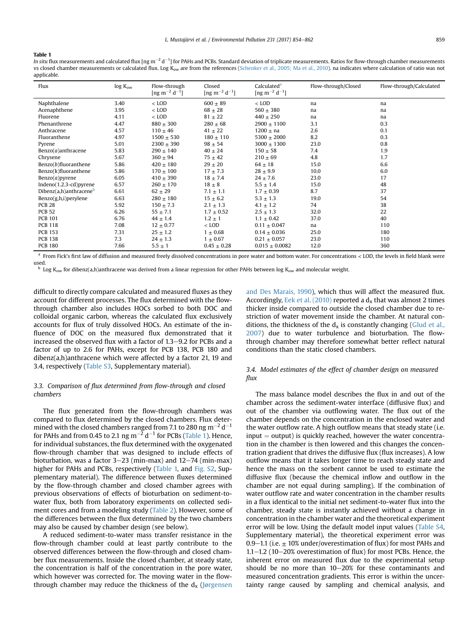#### <span id="page-5-0"></span>Table 1

In situ flux measurements and calculated flux [ng m $^{-2}$  d $^{-1}$ ] for PAHs and PCBs. Standard deviation of triplicate measurements. Ratios for flow-through chamber measurements vs closed chamber measurements or calculated flux. Log  $K_{ow}$  are from the references [\(Schenker et al., 2005; Ma et al., 2010\)](#page-7-0). na indicates where calculation of ratio was not applicable.

| Flux                             | $log K_{ow}$ | Flow-through<br>[ng m <sup>-2</sup> d <sup>-1</sup> ] | Closed<br>[ng m <sup>-2</sup> d <sup>-1</sup> ] | Calculated <sup>a</sup><br>$\left[\text{ng m}^{-2}\text{ d}^{-1}\right]$ | Flow-through/Closed | Flow-through/Calculated |
|----------------------------------|--------------|-------------------------------------------------------|-------------------------------------------------|--------------------------------------------------------------------------|---------------------|-------------------------|
| Naphthalene                      | 3.40         | $<$ LOD                                               | $600 \pm 89$                                    | $<$ LOD                                                                  | na                  | na                      |
| Acenaphthene                     | 3.95         | $<$ LOD                                               | $68 \pm 28$                                     | $560 \pm 380$                                                            | na                  | na                      |
| Fluorene                         | 4.11         | $<$ LOD                                               | $81 \pm 22$                                     | $440 \pm 250$                                                            | na                  | na                      |
| Phenanthrene                     | 4.47         | $880 \pm 300$                                         | $280 \pm 68$                                    | $2900 \pm 1100$                                                          | 3.1                 | 0.3                     |
| Anthracene                       | 4.57         | $110 \pm 46$                                          | $41 \pm 22$                                     | $1200 \pm na$                                                            | 2.6                 | 0.1                     |
| Fluoranthene                     | 4.97         | $1500 \pm 530$                                        | $180 \pm 110$                                   | $5300 \pm 2000$                                                          | 8.2                 | 0.3                     |
| Pyrene                           | 5.01         | $2300 \pm 390$                                        | $98 \pm 54$                                     | $3000 \pm 1300$                                                          | 23.0                | 0.8                     |
| Benzo $(a)$ anthracene           | 5.83         | $290 \pm 140$                                         | $40 \pm 24$                                     | $150 \pm 58$                                                             | 7.4                 | 1.9                     |
| Chrysene                         | 5.67         | $360 \pm 94$                                          | $75 \pm 42$                                     | $210 \pm 69$                                                             | 4.8                 | 1.7                     |
| Benzo(b)fluoranthene             | 5.86         | $420 \pm 180$                                         | $29 \pm 20$                                     | $64 \pm 18$                                                              | 15.0                | 6.6                     |
| Benzo(k)fluoranthene             | 5.86         | $170 \pm 100$                                         | $17 \pm 7.3$                                    | $28 \pm 9.9$                                                             | 10.0                | 6.0                     |
| $Benzo(a)$ pyrene                | 6.05         | $410 \pm 390$                                         | $18 \pm 7.4$                                    | $24 \pm 7.6$                                                             | 23.0                | 17                      |
| Indeno(1.2.3-cd)pyrene           | 6.57         | $260 \pm 170$                                         | $18 \pm 8$                                      | $5.5 \pm 1.4$                                                            | 15.0                | 48                      |
| Dibenz(a,h)anthracene $^{\rm b}$ | 6.61         | $62 \pm 29$                                           | $7.1 \pm 1.1$                                   | $1.7 \pm 0.39$                                                           | 8.7                 | 37                      |
| Benzo(g,h,i)perylene             | 6.63         | $280 \pm 180$                                         | $15 \pm 6.2$                                    | $5.3 \pm 1.3$                                                            | 19.0                | 54                      |
| <b>PCB 28</b>                    | 5.92         | $150 \pm 7.3$                                         | $2.1 \pm 1.3$                                   | $4.1 \pm 1.2$                                                            | 74                  | 38                      |
| <b>PCB 52</b>                    | 6.26         | $55 \pm 7.1$                                          | $1.7 \pm 0.52$                                  | $2.5 \pm 1.3$                                                            | 32.0                | 22                      |
| <b>PCB 101</b>                   | 6.76         | $44 \pm 1.4$                                          | $1.2 \pm 1$                                     | $1.1 \pm 0.42$                                                           | 37.0                | 40                      |
| <b>PCB 118</b>                   | 7.08         | $12 \pm 0.77$                                         | $<$ LOD                                         | $0.11 \pm 0.047$                                                         | na                  | 110                     |
| <b>PCB 153</b>                   | 7.31         | $25 \pm 1.2$                                          | $1 \pm 0.68$                                    | $0.14 \pm 0.036$                                                         | 25.0                | 180                     |
| <b>PCB 138</b>                   | 7.3          | $24 \pm 1.3$                                          | $1 \pm 0.67$                                    | $0.21 \pm 0.057$                                                         | 23.0                | 110                     |
| <b>PCB 180</b>                   | 7.66         | $5.5 \pm 1$                                           | $0.45 \pm 0.28$                                 | $0.015 \pm 0.0082$                                                       | 12.0                | 360                     |

<sup>a</sup> From Fick's first law of diffusion and measured freely dissolved concentrations in pore water and bottom water. For concentrations < LOD, the levels in field blank were used.

Log K<sub>ow</sub> for dibenz(a,h)anthracene was derived from a linear regression for other PAHs between log K<sub>ow</sub> and molecular weight.

difficult to directly compare calculated and measured fluxes as they account for different processes. The flux determined with the flowthrough chamber also includes HOCs sorbed to both DOC and colloidal organic carbon, whereas the calculated flux exclusively accounts for flux of truly dissolved HOCs. An estimate of the influence of DOC on the measured flux demonstrated that it increased the observed flux with a factor of  $1.3-9.2$  for PCBs and a factor of up to 2.6 for PAHs, except for PCB 138, PCB 180 and dibenz(a,h)anthracene which were affected by a factor 21, 19 and 3.4, respectively (Table S3, Supplementary material).

# 3.3. Comparison of flux determined from flow-through and closed chambers

The flux generated from the flow-through chambers was compared to flux determined by the closed chambers. Flux determined with the closed chambers ranged from 7.1 to 280 ng m<sup>-2</sup> d<sup>-1</sup> for PAHs and from 0.45 to 2.1 ng  $m^{-2}$  d<sup>-1</sup> for PCBs (Table 1). Hence, for individual substances, the flux determined with the oxygenated flow-through chamber that was designed to include effects of bioturbation, was a factor  $3-23$  (min-max) and  $12-74$  (min-max) higher for PAHs and PCBs, respectively (Table 1, and Fig. S2, Supplementary material). The difference between fluxes determined by the flow-through chamber and closed chamber agrees with previous observations of effects of bioturbation on sediment-towater flux, both from laboratory experiments on collected sediment cores and from a modeling study ([Table 2](#page-6-0)). However, some of the differences between the flux determined by the two chambers may also be caused by chamber design (see below).

A reduced sediment-to-water mass transfer resistance in the flow-through chamber could at least partly contribute to the observed differences between the flow-through and closed chamber flux measurements. Inside the closed chamber, at steady state, the concentration is half of the concentration in the pore water, which however was corrected for. The moving water in the flowthrough chamber may reduce the thickness of the  $d_x$  [\(Jørgensen](#page-7-0) [and Des Marais, 1990](#page-7-0)), which thus will affect the measured flux. Accordingly, [Eek et al. \(2010\)](#page-7-0) reported a  $d<sub>x</sub>$  that was almost 2 times thicker inside compared to outside the closed chamber due to restriction of water movement inside the chamber. At natural conditions, the thickness of the  $d_x$  is constantly changing ([Glud et al.,](#page-7-0) [2007\)](#page-7-0) due to water turbulence and bioturbation. The flowthrough chamber may therefore somewhat better reflect natural conditions than the static closed chambers.

# 3.4. Model estimates of the effect of chamber design on measured flux

The mass balance model describes the flux in and out of the chamber across the sediment-water interface (diffusive flux) and out of the chamber via outflowing water. The flux out of the chamber depends on the concentration in the enclosed water and the water outflow rate. A high outflow means that steady state (i.e.  $input = output$ ) is quickly reached, however the water concentration in the chamber is then lowered and this changes the concentration gradient that drives the diffusive flux (flux increases). A low outflow means that it takes longer time to reach steady state and hence the mass on the sorbent cannot be used to estimate the diffusive flux (because the chemical inflow and outflow in the chamber are not equal during sampling). If the combination of water outflow rate and water concentration in the chamber results in a flux identical to the initial net sediment-to-water flux into the chamber, steady state is instantly achieved without a change in concentration in the chamber water and the theoretical experiment error will be low. Using the default model input values (Table S4, Supplementary material), the theoretical experiment error was 0.9–1.1 (i.e.  $\pm$  10% under/overestimation of flux) for most PAHs and 1.1 $-1.2$  (10 $-20\%$  overestimation of flux) for most PCBs. Hence, the inherent error on measured flux due to the experimental setup should be no more than  $10-20\%$  for these contaminants and measured concentration gradients. This error is within the uncertainty range caused by sampling and chemical analysis, and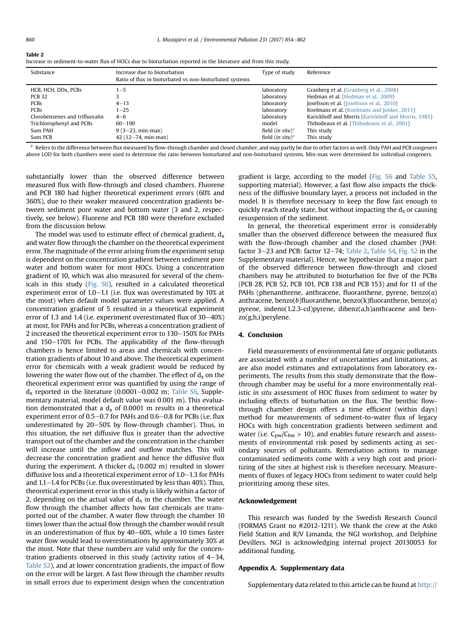<span id="page-6-0"></span>

| $\sim$<br>$\sim$<br>. . |  |
|-------------------------|--|
|-------------------------|--|

| Increase in sediment-to-water flux of HOCs due to bioturbation reported in the literature and from this study. |  |
|----------------------------------------------------------------------------------------------------------------|--|
|                                                                                                                |  |

| Substance                      | Increase due to bioturbation<br>Ratio of flux in bioturbated vs non-bioturbated systems | Type of study       | Reference                                           |
|--------------------------------|-----------------------------------------------------------------------------------------|---------------------|-----------------------------------------------------|
| HCB, HCH, DDx, PCBs            | $1 - 5$                                                                                 | laboratory          | Granberg et al. (Granberg et al., 2008)             |
| <b>PCB 32</b>                  |                                                                                         | laboratory          | Hedman et al. (Hedman et al., 2009)                 |
| <b>PCBs</b>                    | $4 - 13$                                                                                | laboratory          | Josefsson et al. (Josefsson et al., 2010)           |
| <b>PCBs</b>                    | $1 - 25$                                                                                | laboratory          | Koelmans et al. (Koelmans and Jonker, 2011)         |
| Clorobenzenes and trifluoralin | $4 - 6$                                                                                 | laboratory          | Karickhoff and Morris (Karickhoff and Morris, 1985) |
| Trichlorophenyl and PCBs       | $60 - 190$                                                                              | model               | Thibodeaux et al. (Thibodeaux et al., 2001)         |
| Sum PAH                        | $9(3-23, min-max)$                                                                      | field $(in situ)^a$ | This study                                          |
| Sum PCB                        | $42(12-74, min-max)$                                                                    | field $(in situ)^a$ | This study                                          |

a Refers to the difference between flux measured by flow-through chamber and closed chamber, and may partly be due to other factors as well. Only PAH and PCB congeners above LOD for both chambers were used to determine the ratio between bioturbated and non-bioturbated systems. Min-max were determined for individual congeners.

substantially lower than the observed difference between measured flux with flow-through and closed chambers. Fluorene and PCB 180 had higher theoretical experiment errors (60% and 360%), due to their weaker measured concentration gradients between sediment pore water and bottom water (3 and 2, respectively, see below). Fluorene and PCB 180 were therefore excluded from the discussion below.

The model was used to estimate effect of chemical gradient,  $d_x$ and water flow through the chamber on the theoretical experiment error. The magnitude of the error arising from the experiment setup is dependent on the concentration gradient between sediment pore water and bottom water for most HOCs. Using a concentration gradient of 10, which was also measured for several of the chemicals in this study (Fig. S6), resulted in a calculated theoretical experiment error of  $1.0-1.1$  (i.e. flux was overestimated by  $10\%$  at the most) when default model parameter values were applied. A concentration gradient of 5 resulted in a theoretical experiment error of 1.3 and 1.4 (i.e. experiment overestimated flux of  $30-40\%)$ at most, for PAHs and for PCBs, whereas a concentration gradient of 2 increased the theoretical experiment error to 130–150% for PAHs and 150-170% for PCBs. The applicability of the flow-through chambers is hence limited to areas and chemicals with concentration gradients of about 10 and above. The theoretical experiment error for chemicals with a weak gradient would be reduced by lowering the water flow out of the chamber. The effect of  $d_x$  on the theoretical experiment error was quantified by using the range of  $d_x$  reported in the literature (0.0001-0.002 m; Table S6, Supplementary material, model default value was 0.001 m). This evaluation demonstrated that a  $d_x$  of 0.0001 m results in a theoretical experiment error of  $0.5-0.7$  for PAHs and  $0.6-0.8$  for PCBs (i.e. flux underestimated by  $20-50\%$  by flow-through chamber). Thus, in this situation, the net diffusive flux is greater than the advective transport out of the chamber and the concentration in the chamber will increase until the inflow and outflow matches. This will decrease the concentration gradient and hence the diffusive flux during the experiment. A thicker  $d<sub>x</sub>$  (0.002 m) resulted in slower diffusive loss and a theoretical experiment error of  $1.0-1.3$  for PAHs and  $1.1-1.4$  for PCBs (i.e. flux overestimated by less than 40%). Thus, theoretical experiment error in this study is likely within a factor of 2, depending on the actual value of  $d<sub>x</sub>$  in the chamber. The water flow through the chamber affects how fast chemicals are transported out of the chamber. A water flow through the chamber 10 times lower than the actual flow through the chamber would result in an underestimation of flux by  $40-60%$ , while a 10 times faster water flow would lead to overestimations by approximately 30% at the most. Note that these numbers are valid only for the concentration gradients observed in this study (activity ratios of  $4-34$ , Table S2), and at lower concentration gradients, the impact of flow on the error will be larger. A fast flow through the chamber results in small errors due to experiment design when the concentration gradient is large, according to the model (Fig. S6 and Table S5, supporting material). However, a fast flow also impacts the thickness of the diffusive boundary layer, a process not included in the model. It is therefore necessary to keep the flow fast enough to quickly reach steady state, but without impacting the  $d_x$  or causing resuspension of the sediment.

In general, the theoretical experiment error is considerably smaller than the observed difference between the measured flux with the flow-through chamber and the closed chamber (PAH: factor  $3-23$  and PCB: factor  $12-74$ ; Table 2, Table S4, Fig. S2 in the Supplementary material). Hence, we hypothesize that a major part of the observed difference between flow-through and closed chambers may be attributed to bioturbation for five of the PCBs (PCB 28, PCB 52, PCB 101, PCB 138 and PCB 153) and for 11 of the PAHs (phenanthrene, anthracene, fluoranthene, pyrene, benzo $(a)$ anthracene, benzo(b)fluoranthene, benzo(k)fluoranthene, benzo(a) pyrene, indeno(1.2.3-cd)pyrene, dibenz(a,h)anthracene and benzo(g,h,i)perylene.

#### 4. Conclusion

Field measurements of environmental fate of organic pollutants are associated with a number of uncertainties and limitations, as are also model estimates and extrapolations from laboratory experiments. The results from this study demonstrate that the flowthrough chamber may be useful for a more environmentally realistic in situ assessment of HOC fluxes from sediment to water by including effects of bioturbation on the flux. The benthic flowthrough chamber design offers a time efficient (within days) method for measurements of sediment-to-water flux of legacy HOCs with high concentration gradients between sediment and water (i.e.  $C_{\text{pw}}/C_{\text{bw}} > 10$ ), and enables future research and assessments of environmental risk posed by sediments acting as secondary sources of pollutants. Remediation actions to manage contaminated sediments come with a very high cost and prioritizing of the sites at highest risk is therefore necessary. Measurements of fluxes of legacy HOCs from sediment to water could help prioritizing among these sites.

#### Acknowledgement

This research was funded by the Swedish Research Council (FORMAS Grant no #2012-1211). We thank the crew at the Askö Field Station and R/V Limanda, the NGI workshop, and Delphine Devillers. NGI is acknowledging internal project 20130053 for additional funding.

## Appendix A. Supplementary data

Supplementary data related to this article can be found at [http://](http://dx.doi.org/10.1016/j.envpol.2017.08.086)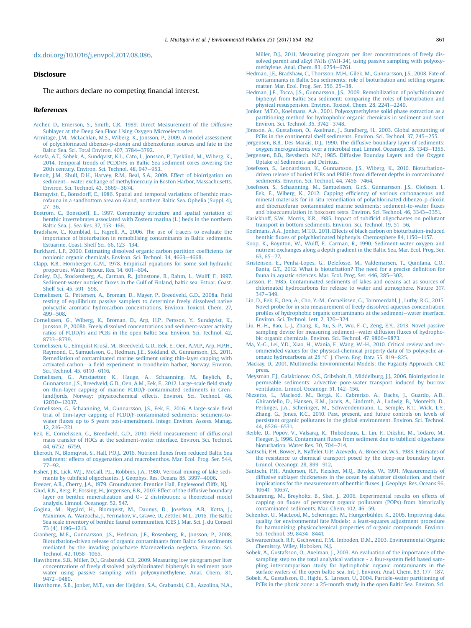#### <span id="page-7-0"></span>[dx.doi.org/10.1016/j.envpol.2017.08.086.](http://dx.doi.org/10.1016/j.envpol.2017.08.086)

# **Disclosure**

The authors declare no competing financial interest.

#### References

- [Archer, D., Emerson, S., Smith, C.R., 1989. Direct Measurement of the Diffusive](http://refhub.elsevier.com/S0269-7491(17)30329-9/sref1) [Sublayer at the Deep Sea Floor Using Oxygen Microelectrodes](http://refhub.elsevier.com/S0269-7491(17)30329-9/sref1).
- [Armitage, J.M., McLachlan, M.S., Wiberg, K., Jonsson, P., 2009. A model assessment](http://refhub.elsevier.com/S0269-7491(17)30329-9/sref2) [of polychlorinated dibenzo-p-dioxin and dibenzofuran sources and fate in the](http://refhub.elsevier.com/S0269-7491(17)30329-9/sref2) [Baltic Sea. Sci. Total Environ. 407, 3784](http://refhub.elsevier.com/S0269-7491(17)30329-9/sref2)-[3792](http://refhub.elsevier.com/S0269-7491(17)30329-9/sref2).
- [Assefa, A.T., Sobek, A., Sundqvist, K.L., Cato, I., Jonsson, P., Tysklind, M., Wiberg, K.,](http://refhub.elsevier.com/S0269-7491(17)30329-9/sref3) [2014. Temporal trends of PCDD/Fs in Baltic Sea sediment cores covering the](http://refhub.elsevier.com/S0269-7491(17)30329-9/sref3) [20th century. Environ. Sci. Technol. 48, 947](http://refhub.elsevier.com/S0269-7491(17)30329-9/sref3)-[953.](http://refhub.elsevier.com/S0269-7491(17)30329-9/sref3)
- [Benoit, J.M., Shull, D.H., Harvey, R.M., Beal, S.A., 2009. Effect of bioirrigation on](http://refhub.elsevier.com/S0269-7491(17)30329-9/sref4) [sediment](http://refhub.elsevier.com/S0269-7491(17)30329-9/sref4) - [water exchange of methylmercury in Boston Harbor, Massachusetts.](http://refhub.elsevier.com/S0269-7491(17)30329-9/sref4) [Environ. Sci. Technol. 43, 3669](http://refhub.elsevier.com/S0269-7491(17)30329-9/sref4)-[3674](http://refhub.elsevier.com/S0269-7491(17)30329-9/sref4)
- [Blomqvist, E., Bonsdorff, E., 1986. Spatial and temporal variations of benthic mac](http://refhub.elsevier.com/S0269-7491(17)30329-9/sref5)[rofauna in a sandbottom area on Aland, northern Baltic Sea. Ophelia \(Suppl. 4\),](http://refhub.elsevier.com/S0269-7491(17)30329-9/sref5)  $27 - 36$  $27 - 36$  $27 - 36$ .
- [Bostr](http://refhub.elsevier.com/S0269-7491(17)30329-9/sref6)ö[m, C., Bonsdorff, E., 1997. Community structure and spatial variation of](http://refhub.elsevier.com/S0269-7491(17)30329-9/sref6) [benthic invertebrates associated with Zostera marina \(L.\) beds in the northern](http://refhub.elsevier.com/S0269-7491(17)30329-9/sref6) [Baltic Sea. J. Sea Res. 37, 153](http://refhub.elsevier.com/S0269-7491(17)30329-9/sref6)-[166](http://refhub.elsevier.com/S0269-7491(17)30329-9/sref6).
- [Bradshaw, C., Kumblad, L., Fagrell, A., 2006. The use of tracers to evaluate the](http://refhub.elsevier.com/S0269-7491(17)30329-9/sref7) [importance of bioturbation in remobilising contaminants in Baltic sediments.](http://refhub.elsevier.com/S0269-7491(17)30329-9/sref7) [Estuarine, Coast. Shelf Sci. 66, 123](http://refhub.elsevier.com/S0269-7491(17)30329-9/sref7)-[134.](http://refhub.elsevier.com/S0269-7491(17)30329-9/sref7)
- [Burkhard, L.P., 2000. Estimating dissolved organic carbon partition coef](http://refhub.elsevier.com/S0269-7491(17)30329-9/sref8)ficients for [nonionic organic chemicals. Environ. Sci. Technol. 34, 4663](http://refhub.elsevier.com/S0269-7491(17)30329-9/sref8)-[4668](http://refhub.elsevier.com/S0269-7491(17)30329-9/sref8).
- [Clapp, R.B., Hornberger, G.M., 1978. Empirical equations for some soil hydraulic](http://refhub.elsevier.com/S0269-7491(17)30329-9/sref9) [properties. Water Resour. Res. 14, 601](http://refhub.elsevier.com/S0269-7491(17)30329-9/sref9)-[604.](http://refhub.elsevier.com/S0269-7491(17)30329-9/sref9)
- [Conley, D.J., Stockenberg, A., Carman, R., Johnstone, R., Rahm, L., Wulff, F., 1997.](http://refhub.elsevier.com/S0269-7491(17)30329-9/sref10) Sediment-water nutrient fl[uxes in the Gulf of Finland, baltic sea. Estuar. Coast.](http://refhub.elsevier.com/S0269-7491(17)30329-9/sref10) [Shelf Sci. 45, 591](http://refhub.elsevier.com/S0269-7491(17)30329-9/sref10)-[598](http://refhub.elsevier.com/S0269-7491(17)30329-9/sref10).
- [Cornelissen, G., Pettersen, A., Broman, D., Mayer, P., Breedveld, G.D., 2008a. Field](http://refhub.elsevier.com/S0269-7491(17)30329-9/sref11) [testing of equilibrium passive samplers to determine freely dissolved native](http://refhub.elsevier.com/S0269-7491(17)30329-9/sref11) [polycyclic aromatic hydrocarbon concentrations. Environ. Toxicol. Chem. 27,](http://refhub.elsevier.com/S0269-7491(17)30329-9/sref11) [499](http://refhub.elsevier.com/S0269-7491(17)30329-9/sref11)-[508](http://refhub.elsevier.com/S0269-7491(17)30329-9/sref11).
- [Cornelissen, G., Wiberg, K., Broman, D., Arp, H.P., Persson, Y., Sundqvist, K.,](http://refhub.elsevier.com/S0269-7491(17)30329-9/sref12) [Jonsson, P., 2008b. Freely dissolved concentrations and sediment-water activity](http://refhub.elsevier.com/S0269-7491(17)30329-9/sref12) [ratios of PCDD/Fs and PCBs in the open Baltic Sea. Environ. Sci. Technol. 42,](http://refhub.elsevier.com/S0269-7491(17)30329-9/sref12) [8733](http://refhub.elsevier.com/S0269-7491(17)30329-9/sref12)-[8739](http://refhub.elsevier.com/S0269-7491(17)30329-9/sref12).
- [Cornelissen, G., Elmquist Kruså, M., Breedveld, G.D., Eek, E., Oen, A.M.P., Arp, H.P.H.,](http://refhub.elsevier.com/S0269-7491(17)30329-9/sref13) [Raymond, C., Samuelsson, G., Hedman, J.E., Stokland, Ø., Gunnarsson, J.S., 2011.](http://refhub.elsevier.com/S0269-7491(17)30329-9/sref13) [Remediation of contaminated marine sediment using thin-layer capping with](http://refhub.elsevier.com/S0269-7491(17)30329-9/sref13) [activated carbon](http://refhub.elsevier.com/S0269-7491(17)30329-9/sref13)-a fi[eld experiment in trondheim harbor, Norway. Environ.](http://refhub.elsevier.com/S0269-7491(17)30329-9/sref13) [Sci. Technol. 45, 6110](http://refhub.elsevier.com/S0269-7491(17)30329-9/sref13)-[6116](http://refhub.elsevier.com/S0269-7491(17)30329-9/sref13).
- [Cornelissen, G., Amstaetter, K., Hauge, A., Schaanning, M., Beylich, B.,](http://refhub.elsevier.com/S0269-7491(17)30329-9/sref14) [Gunnarsson, J.S., Breedveld, G.D., Oen, A.M., Eek, E., 2012. Large-scale](http://refhub.elsevier.com/S0269-7491(17)30329-9/sref14) field study [on thin-layer capping of marine PCDD/F-contaminated sediments in Gren](http://refhub.elsevier.com/S0269-7491(17)30329-9/sref14)[landfjords, Norway: physicochemical effects. Environ. Sci. Technol. 46,](http://refhub.elsevier.com/S0269-7491(17)30329-9/sref14) [12030](http://refhub.elsevier.com/S0269-7491(17)30329-9/sref14)-[12037.](http://refhub.elsevier.com/S0269-7491(17)30329-9/sref14)
- [Cornelissen, G., Schaanning, M., Gunnarsson, J.S., Eek, E., 2016. A large-scale](http://refhub.elsevier.com/S0269-7491(17)30329-9/sref15) field [trial of thin-layer capping of PCDD/F-contaminated sediments: sediment-to](http://refhub.elsevier.com/S0269-7491(17)30329-9/sref15)water fl[uxes up to 5 years post-amendment. Integr. Environ. Assess. Manag.](http://refhub.elsevier.com/S0269-7491(17)30329-9/sref15)  $12.216 - 221.$  $12.216 - 221.$
- [Eek, E., Cornelissen, G., Breedveld, G.D., 2010. Field measurement of diffusional](http://refhub.elsevier.com/S0269-7491(17)30329-9/sref16) [mass transfer of HOCs at the sediment-water interface. Environ. Sci. Technol.](http://refhub.elsevier.com/S0269-7491(17)30329-9/sref16) [44, 6752](http://refhub.elsevier.com/S0269-7491(17)30329-9/sref16)-[6759](http://refhub.elsevier.com/S0269-7491(17)30329-9/sref16).
- [Ekeroth, N., Blomqvist, S., Hall, P.O.J., 2016. Nutrient](http://refhub.elsevier.com/S0269-7491(17)30329-9/sref17) fluxes from reduced Baltic Sea [sediment: effects of oxygenation and macrobenthos. Mar. Ecol. Prog. Ser. 544,](http://refhub.elsevier.com/S0269-7491(17)30329-9/sref17)  $77 - 92.$  $77 - 92.$  $77 - 92.$
- [Fisher, J.B., Lick, W.J., McCall, P.L., Robbins, J.A., 1980. Vertical mixing of lake sedi](http://refhub.elsevier.com/S0269-7491(17)30329-9/sref18)ments by tubifi[cid oligochaetes. J. Geophys. Res. Oceans 85, 3997](http://refhub.elsevier.com/S0269-7491(17)30329-9/sref18)-[4006](http://refhub.elsevier.com/S0269-7491(17)30329-9/sref18).

[Freezer, A.R., Cherry, J.A., 1979. Groundwater. Prentice Hall, Englewood Cliffs, NJ.](http://refhub.elsevier.com/S0269-7491(17)30329-9/sref19)

- [Glud, R.N., Berg, P., Fossing, H., Jorgensen, B.B., 2007. Effect of the diffusive boundary](http://refhub.elsevier.com/S0269-7491(17)30329-9/sref20) layer on benthic mineralization and  $0 \approx 2$  distribution: a theoretical model [analysis. Limnol. Oceanogr. 52, 547.](http://refhub.elsevier.com/S0269-7491(17)30329-9/sref20)
- [Gogina, M., Nygård, H., Blomqvist, M., Daunys, D., Josefson, A.B., Kotta, J.,](http://refhub.elsevier.com/S0269-7491(17)30329-9/sref21)<br>[Maximov, A., Warzocha, J., Yermakov, V., Gr](http://refhub.elsevier.com/S0269-7491(17)30329-9/sref21)äwe, U., Zettler, M.L., 2016. The Baltic [Sea scale inventory of benthic faunal communities. ICES J. Mar. Sci. J. du Conseil](http://refhub.elsevier.com/S0269-7491(17)30329-9/sref21) [73 \(4\), 1196](http://refhub.elsevier.com/S0269-7491(17)30329-9/sref21)-[1213](http://refhub.elsevier.com/S0269-7491(17)30329-9/sref21).
- [Granberg, M.E., Gunnarsson, J.S., Hedman, J.E., Rosenberg, R., Jonsson, P., 2008.](http://refhub.elsevier.com/S0269-7491(17)30329-9/sref22) [Bioturbation-driven release of organic contaminants from Baltic Sea sediments](http://refhub.elsevier.com/S0269-7491(17)30329-9/sref22) [mediated by the invading polychaete Marenzelleria neglecta. Environ. Sci.](http://refhub.elsevier.com/S0269-7491(17)30329-9/sref22) [Technol. 42, 1058](http://refhub.elsevier.com/S0269-7491(17)30329-9/sref22)-[1065](http://refhub.elsevier.com/S0269-7491(17)30329-9/sref22).
- [Hawthorne, S.B., Miller, D.J., Grabanski, C.B., 2009. Measuring low picogram per liter](http://refhub.elsevier.com/S0269-7491(17)30329-9/sref23) [concentrations of freely dissolved polychlorinated biphenyls in sediment pore](http://refhub.elsevier.com/S0269-7491(17)30329-9/sref23) [water using passive sampling with polyoxymethylene. Anal. Chem. 81,](http://refhub.elsevier.com/S0269-7491(17)30329-9/sref23)  $9472 - 9480$  $9472 - 9480$  $9472 - 9480$

[Hawthorne, S.B., Jonker, M.T., van der Heijden, S.A., Grabanski, C.B., Azzolina, N.A.,](http://refhub.elsevier.com/S0269-7491(17)30329-9/sref24)

[Miller, D.J., 2011. Measuring picogram per liter concentrations of freely dis](http://refhub.elsevier.com/S0269-7491(17)30329-9/sref24)[solved parent and alkyl PAHs \(PAH-34\), using passive sampling with polyoxy](http://refhub.elsevier.com/S0269-7491(17)30329-9/sref24)[methylene. Anal. Chem. 83, 6754](http://refhub.elsevier.com/S0269-7491(17)30329-9/sref24)-[6761.](http://refhub.elsevier.com/S0269-7491(17)30329-9/sref24)

- [Hedman, J.E., Bradshaw, C., Thorsson, M.H., Gilek, M., Gunnarsson, J.S., 2008. Fate of](http://refhub.elsevier.com/S0269-7491(17)30329-9/sref25) [contaminants in Baltic Sea sediments: role of bioturbation and settling organic](http://refhub.elsevier.com/S0269-7491(17)30329-9/sref25) [matter. Mar. Ecol. Prog. Ser. 356, 25](http://refhub.elsevier.com/S0269-7491(17)30329-9/sref25)-[38.](http://refhub.elsevier.com/S0269-7491(17)30329-9/sref25)
- [Hedman, J.E., Tocca, J.S., Gunnarsson, J.S., 2009. Remobilization of polychlorinated](http://refhub.elsevier.com/S0269-7491(17)30329-9/sref26) [biphenyl from Baltic Sea sediment: comparing the roles of bioturbation and](http://refhub.elsevier.com/S0269-7491(17)30329-9/sref26) [physical resuspension. Environ. Toxicol. Chem. 28, 2241](http://refhub.elsevier.com/S0269-7491(17)30329-9/sref26)-[2249](http://refhub.elsevier.com/S0269-7491(17)30329-9/sref26).
- [Jonker, M.T.O., Koelmans, A.A., 2001. Polyoxymethylene solid phase extraction as a](http://refhub.elsevier.com/S0269-7491(17)30329-9/sref27) [partitioning method for hydrophobic organic chemicals in sediment and soot.](http://refhub.elsevier.com/S0269-7491(17)30329-9/sref27) [Environ. Sci. Technol. 35, 3742](http://refhub.elsevier.com/S0269-7491(17)30329-9/sref27)-[3748.](http://refhub.elsevier.com/S0269-7491(17)30329-9/sref27)
- Jönsson, A., Gustafsson, Ö[., Axelman, J., Sundberg, H., 2003. Global accounting of](http://refhub.elsevier.com/S0269-7491(17)30329-9/sref28) [PCBs in the continental shelf sediments. Environ. Sci. Technol. 37, 245](http://refhub.elsevier.com/S0269-7491(17)30329-9/sref28)–[255](http://refhub.elsevier.com/S0269-7491(17)30329-9/sref28).
- [Jørgensen, B.B., Des Marais, D.J., 1990. The diffusive boundary layer of sediments:](http://refhub.elsevier.com/S0269-7491(17)30329-9/sref29) [oxygen microgradients over a microbial mat. Limnol. Oceanogr. 35, 1343](http://refhub.elsevier.com/S0269-7491(17)30329-9/sref29)-[1355](http://refhub.elsevier.com/S0269-7491(17)30329-9/sref29). [Jørgensen, B.B., Revsbech, N.P., 1985. Diffusive Bounday Layers and the Oxygen](http://refhub.elsevier.com/S0269-7491(17)30329-9/sref30)
- [Uptake of Sediments and Detritus.](http://refhub.elsevier.com/S0269-7491(17)30329-9/sref30) [Josefsson, S., Leonardsson, K., Gunnarsson, J.S., Wiberg, K., 2010. Bioturbation](http://refhub.elsevier.com/S0269-7491(17)30329-9/sref31)[driven release of buried PCBs and PBDEs from different depths in contaminated](http://refhub.elsevier.com/S0269-7491(17)30329-9/sref31) [sediments. Environ. Sci. Technol. 44, 7456](http://refhub.elsevier.com/S0269-7491(17)30329-9/sref31)-[7464.](http://refhub.elsevier.com/S0269-7491(17)30329-9/sref31)
- [Josefsson, S., Schaanning, M., Samuelsson, G.r.S., Gunnarsson, J.S., Olofsson, I.,](http://refhub.elsevier.com/S0269-7491(17)30329-9/sref32) [Eek, E., Wiberg, K., 2012. Capping ef](http://refhub.elsevier.com/S0269-7491(17)30329-9/sref32)ficiency of various carbonaceous and [mineral materials for in situ remediation of polychlorinated dibenzo-p-dioxin](http://refhub.elsevier.com/S0269-7491(17)30329-9/sref32) [and dibenzofuran contaminated marine sediments: sediment-to-water](http://refhub.elsevier.com/S0269-7491(17)30329-9/sref32) fluxes and bioaccumulation in boxcosm tests. Environ. Sci. Technol.  $46. 3343 - 3351$ .
- [Karickhoff, S.W., Morris, K.R., 1985. Impact of tubi](http://refhub.elsevier.com/S0269-7491(17)30329-9/sref33)ficid oligochaetes on pollutant [transport in bottom sediments. Environ. Sci. Technol. 19, 51](http://refhub.elsevier.com/S0269-7491(17)30329-9/sref33)-[56](http://refhub.elsevier.com/S0269-7491(17)30329-9/sref33).
- [Koelmans, A.A., Jonker, M.T.O., 2011. Effects of black carbon on bioturbation-induced](http://refhub.elsevier.com/S0269-7491(17)30329-9/sref34) benthic fl[uxes of polychlorinated biphenyls. Chemosphere 84, 1150](http://refhub.elsevier.com/S0269-7491(17)30329-9/sref34)-[1157.](http://refhub.elsevier.com/S0269-7491(17)30329-9/sref34)
- [Koop, K., Boynton, W., Wulff, F., Carman, R., 1990. Sediment-water oxygen and](http://refhub.elsevier.com/S0269-7491(17)30329-9/sref35) [nutrient exchanges along a depth gradient in the Baltic Sea. Mar. Ecol. Prog. Ser.](http://refhub.elsevier.com/S0269-7491(17)30329-9/sref35) 63,  $65 - 77$ .
- [Kristensen, E., Penha-Lopes, G., Delefosse, M., Valdemarsen, T., Quintana, C.O.,](http://refhub.elsevier.com/S0269-7491(17)30329-9/sref36) [Banta, G.T., 2012. What is bioturbation? The need for a precise de](http://refhub.elsevier.com/S0269-7491(17)30329-9/sref36)finition for [fauna in aquatic sciences. Mar. Ecol. Prog. Ser. 446, 285](http://refhub.elsevier.com/S0269-7491(17)30329-9/sref36)-[302.](http://refhub.elsevier.com/S0269-7491(17)30329-9/sref36)
- [Larsson, P., 1985. Contaminated sediments of lakes and oceans act as sources of](http://refhub.elsevier.com/S0269-7491(17)30329-9/sref37) [chlorinated hydrocarbons for release to water and atmosphere. Nature 317,](http://refhub.elsevier.com/S0269-7491(17)30329-9/sref37)  $347 - 349$  $347 - 349$
- [Lin, D., Eek, E., Oen, A., Cho, Y.-M., Cornelissen, G., Tommerdahl, J., Luthy, R.G., 2015.](http://refhub.elsevier.com/S0269-7491(17)30329-9/sref38) [Novel probe for in situ measurement of freely dissolved aqueous concentration](http://refhub.elsevier.com/S0269-7491(17)30329-9/sref38) profi[les of hydrophobic organic contaminants at the sediment](http://refhub.elsevier.com/S0269-7491(17)30329-9/sref38)-[water interface.](http://refhub.elsevier.com/S0269-7491(17)30329-9/sref38) [Environ. Sci. Technol. Lett. 2, 320](http://refhub.elsevier.com/S0269-7491(17)30329-9/sref38)-[324.](http://refhub.elsevier.com/S0269-7491(17)30329-9/sref38)
- [Liu, H.-H., Bao, L.-J., Zhang, K., Xu, S.-P., Wu, F.-C., Zeng, E.Y., 2013. Novel passive](http://refhub.elsevier.com/S0269-7491(17)30329-9/sref39) [sampling device for measuring sediment](http://refhub.elsevier.com/S0269-7491(17)30329-9/sref39)-water diffusion fl[uxes of hydropho](http://refhub.elsevier.com/S0269-7491(17)30329-9/sref39)[bic organic chemicals. Environ. Sci. Technol. 47, 9866](http://refhub.elsevier.com/S0269-7491(17)30329-9/sref39)-[9873](http://refhub.elsevier.com/S0269-7491(17)30329-9/sref39).
- [Ma, Y.-G., Lei, Y.D., Xiao, H., Wania, F., Wang, W.-H., 2010. Critical review and rec](http://refhub.elsevier.com/S0269-7491(17)30329-9/sref40)[ommended values for the physical-chemical property data of 15 polycyclic ar](http://refhub.elsevier.com/S0269-7491(17)30329-9/sref40)[omatic hydrocarbons at 25](http://refhub.elsevier.com/S0269-7491(17)30329-9/sref40) °[C. J. Chem. Eng. Data 55, 819](http://refhub.elsevier.com/S0269-7491(17)30329-9/sref40)-[825.](http://refhub.elsevier.com/S0269-7491(17)30329-9/sref40)
- [Mackay, D., 2001. Multimedia Environmental Models: the Fugacity Approach. CRC](http://refhub.elsevier.com/S0269-7491(17)30329-9/sref41) [press](http://refhub.elsevier.com/S0269-7491(17)30329-9/sref41).
- [Meysman, F.J., Galaktionov, O.S., Gribsholt, B., Middelburg, J.J., 2006. Bioirrigation in](http://refhub.elsevier.com/S0269-7491(17)30329-9/sref42) [permeable sediments: advective pore-water transport induced by burrow](http://refhub.elsevier.com/S0269-7491(17)30329-9/sref42) [ventilation. Limnol. Oceanogr. 51, 142](http://refhub.elsevier.com/S0269-7491(17)30329-9/sref42)-[156](http://refhub.elsevier.com/S0269-7491(17)30329-9/sref42).
- [Nizzetto, L., Macleod, M., Borgå, K., Cabrerizo, A., Dachs, J., Guardo, A.D.,](http://refhub.elsevier.com/S0269-7491(17)30329-9/sref43) [Ghirardello, D., Hansen, K.M., Jarvis, A., Lindroth, A., Ludwig, B., Monteith, D.,](http://refhub.elsevier.com/S0269-7491(17)30329-9/sref43) [Perlinger, J.A., Scheringer, M., Schwendenmann, L., Semple, K.T., Wick, L.Y.,](http://refhub.elsevier.com/S0269-7491(17)30329-9/sref43) [Zhang, G., Jones, K.C., 2010. Past, present, and future controls on levels of](http://refhub.elsevier.com/S0269-7491(17)30329-9/sref43) [persistent organic pollutants in the global environment. Environ. Sci. Technol.](http://refhub.elsevier.com/S0269-7491(17)30329-9/sref43) [44, 6526](http://refhub.elsevier.com/S0269-7491(17)30329-9/sref43)-[6531.](http://refhub.elsevier.com/S0269-7491(17)30329-9/sref43)
- [Reible, D., Popov, V., Valsaraj, K., Thibodeaux, L., Lin, F., Dikshit, M., Todaro, M.,](http://refhub.elsevier.com/S0269-7491(17)30329-9/sref44) Fleeger, J., 1996. Contaminant fl[uxes from sediment due to tubi](http://refhub.elsevier.com/S0269-7491(17)30329-9/sref44)ficid oligochaete [bioturbation. Water Res. 30, 704](http://refhub.elsevier.com/S0269-7491(17)30329-9/sref44)-[714.](http://refhub.elsevier.com/S0269-7491(17)30329-9/sref44)
- [Santschi, P.H., Bower, P., Nyffeler, U.P., Azevedo, A., Broecker, W.S., 1983. Estimates of](http://refhub.elsevier.com/S0269-7491(17)30329-9/sref45) [the resistance to chemical transport posed by the deep-sea boundary layer.](http://refhub.elsevier.com/S0269-7491(17)30329-9/sref45) [Limnol. Oceanogr. 28, 899](http://refhub.elsevier.com/S0269-7491(17)30329-9/sref45)-[912.](http://refhub.elsevier.com/S0269-7491(17)30329-9/sref45)
- [Santschi, P.H., Anderson, R.F., Fleisher, M.Q., Bowles, W., 1991. Measurements of](http://refhub.elsevier.com/S0269-7491(17)30329-9/sref46) [diffusive sublayer thicknesses in the ocean by alabaster dissolution, and their](http://refhub.elsevier.com/S0269-7491(17)30329-9/sref46) [implications for the measurements of benthic](http://refhub.elsevier.com/S0269-7491(17)30329-9/sref46) fluxes. J. Geophys. Res. Oceans 96, [10641](http://refhub.elsevier.com/S0269-7491(17)30329-9/sref46)-[10657.](http://refhub.elsevier.com/S0269-7491(17)30329-9/sref46)
- [Schaanning, M., Breyholtz, B., Skei, J., 2006. Experimental results on effects of](http://refhub.elsevier.com/S0269-7491(17)30329-9/sref47) capping on fl[uxes of persistent organic pollutants \(POPs\) from historically](http://refhub.elsevier.com/S0269-7491(17)30329-9/sref47) [contaminated sediments. Mar. Chem. 102, 46](http://refhub.elsevier.com/S0269-7491(17)30329-9/sref47)-[59](http://refhub.elsevier.com/S0269-7491(17)30329-9/sref47).
- [Schenker, U., MacLeod, M., Scheringer, M., Hungerbühler, K., 2005. Improving data](http://refhub.elsevier.com/S0269-7491(17)30329-9/sref48) [quality for environmental fate Models: a least-squares adjustment procedure](http://refhub.elsevier.com/S0269-7491(17)30329-9/sref48) [for harmonizing physicochemical properties of organic compounds. Environ.](http://refhub.elsevier.com/S0269-7491(17)30329-9/sref48) [Sci. Technol. 39, 8434](http://refhub.elsevier.com/S0269-7491(17)30329-9/sref48)-[8441.](http://refhub.elsevier.com/S0269-7491(17)30329-9/sref48)
- [Schwarzenbach, R.P., Gschwend, P.M., Imboden, D.M., 2003. Environmental Organic](http://refhub.elsevier.com/S0269-7491(17)30329-9/sref49) [Chemistry. Wiley, Hoboken, N.J](http://refhub.elsevier.com/S0269-7491(17)30329-9/sref49).

[Sobek, A., Gustafsson,](http://refhub.elsevier.com/S0269-7491(17)30329-9/sref50) Ö[., Axelman, J., 2003. An evaluation of the importance of the](http://refhub.elsevier.com/S0269-7491(17)30329-9/sref50) [sampling step to the total analytical variance - a four-system](http://refhub.elsevier.com/S0269-7491(17)30329-9/sref50) field based sam[pling intercomparison study for hydrophobic organic contaminants in the](http://refhub.elsevier.com/S0269-7491(17)30329-9/sref50) [surface waters of the open baltic sea. Int. J. Environ. Anal. Chem. 83, 177](http://refhub.elsevier.com/S0269-7491(17)30329-9/sref50)-[187.](http://refhub.elsevier.com/S0269-7491(17)30329-9/sref50)

[Sobek, A., Gustafsson,](http://refhub.elsevier.com/S0269-7491(17)30329-9/sref51) Ö[., Hajdu, S., Larsson, U., 2004. Particle-water partitioning of](http://refhub.elsevier.com/S0269-7491(17)30329-9/sref51) [PCBs in the photic zone: a 25-month study in the open Baltic Sea. Environ. Sci.](http://refhub.elsevier.com/S0269-7491(17)30329-9/sref51)